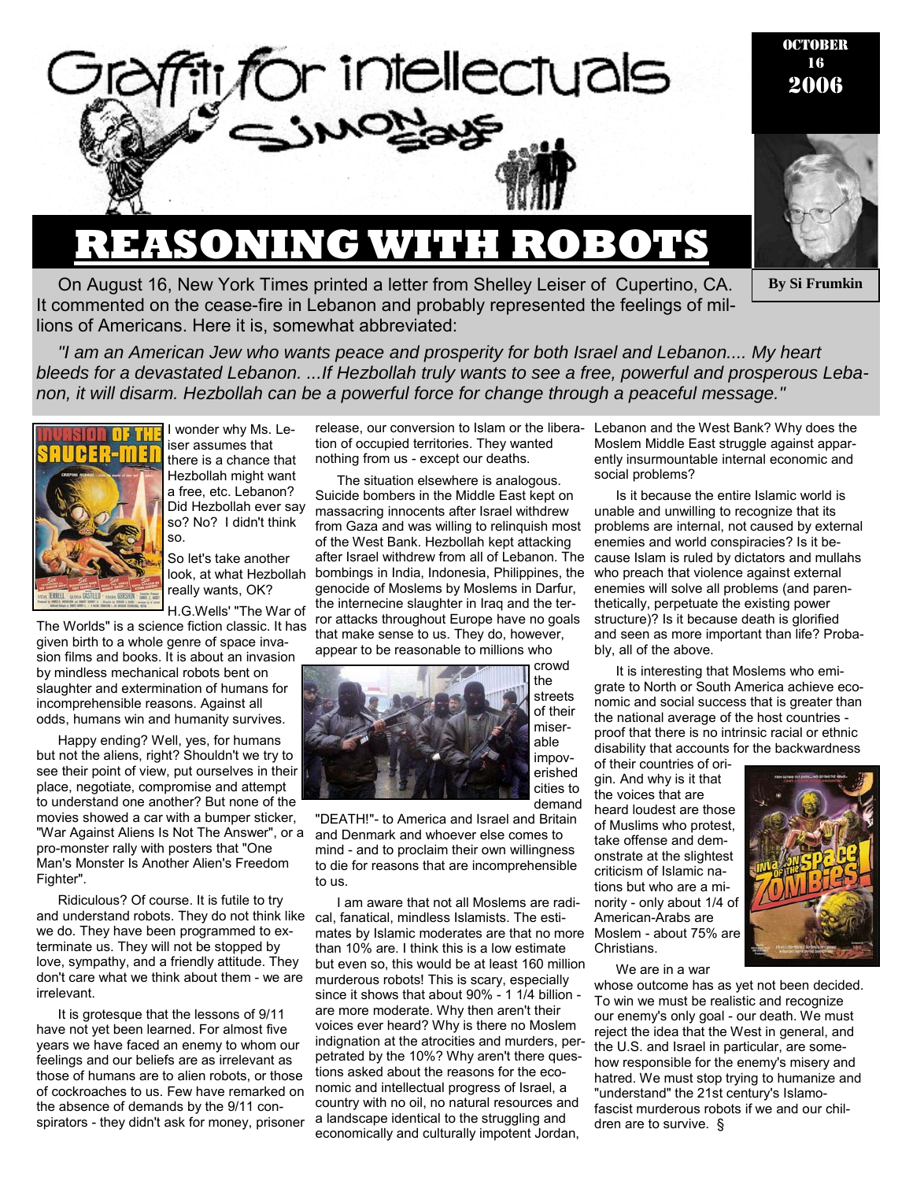

# **REASONING WITH ROBOTS**

OCTOBER 16 2006



**By Si Frumkin** 

On August 16, New York Times printed a letter from Shelley Leiser of Cupertino, CA. It commented on the cease-fire in Lebanon and probably represented the feelings of millions of Americans. Here it is, somewhat abbreviated:

*"I am an American Jew who wants peace and prosperity for both Israel and Lebanon.... My heart bleeds for a devastated Lebanon. ...If Hezbollah truly wants to see a free, powerful and prosperous Lebanon, it will disarm. Hezbollah can be a powerful force for change through a peaceful message."* 



I wonder why Ms. Leiser assumes that there is a chance that Hezbollah might want a free, etc. Lebanon? Did Hezbollah ever say so? No? I didn't think so.

So let's take another look, at what Hezbollah really wants, OK?

H.G.Wells' "The War of

The Worlds" is a science fiction classic. It has given birth to a whole genre of space invasion films and books. It is about an invasion by mindless mechanical robots bent on slaughter and extermination of humans for incomprehensible reasons. Against all odds, humans win and humanity survives.

Happy ending? Well, yes, for humans but not the aliens, right? Shouldn't we try to see their point of view, put ourselves in their place, negotiate, compromise and attempt to understand one another? But none of the movies showed a car with a bumper sticker, "War Against Aliens Is Not The Answer", or a pro-monster rally with posters that "One Man's Monster Is Another Alien's Freedom Fighter".

Ridiculous? Of course. It is futile to try and understand robots. They do not think like we do. They have been programmed to exterminate us. They will not be stopped by love, sympathy, and a friendly attitude. They don't care what we think about them - we are irrelevant.

It is grotesque that the lessons of 9/11 have not yet been learned. For almost five years we have faced an enemy to whom our feelings and our beliefs are as irrelevant as those of humans are to alien robots, or those of cockroaches to us. Few have remarked on the absence of demands by the 9/11 conspirators - they didn't ask for money, prisoner

tion of occupied territories. They wanted nothing from us - except our deaths.

The situation elsewhere is analogous. Suicide bombers in the Middle East kept on massacring innocents after Israel withdrew from Gaza and was willing to relinquish most of the West Bank. Hezbollah kept attacking after Israel withdrew from all of Lebanon. The bombings in India, Indonesia, Philippines, the genocide of Moslems by Moslems in Darfur, the internecine slaughter in Iraq and the terror attacks throughout Europe have no goals that make sense to us. They do, however, appear to be reasonable to millions who



streets of their miserable impoverished cities to demand

"DEATH!"- to America and Israel and Britain and Denmark and whoever else comes to mind - and to proclaim their own willingness to die for reasons that are incomprehensible to us.

I am aware that not all Moslems are radical, fanatical, mindless Islamists. The estimates by Islamic moderates are that no more than 10% are. I think this is a low estimate but even so, this would be at least 160 million murderous robots! This is scary, especially since it shows that about 90% - 1 1/4 billion are more moderate. Why then aren't their voices ever heard? Why is there no Moslem indignation at the atrocities and murders, perpetrated by the 10%? Why aren't there questions asked about the reasons for the economic and intellectual progress of Israel, a country with no oil, no natural resources and a landscape identical to the struggling and economically and culturally impotent Jordan,

release, our conversion to Islam or the libera-Lebanon and the West Bank? Why does the Moslem Middle East struggle against apparently insurmountable internal economic and social problems?

> Is it because the entire Islamic world is unable and unwilling to recognize that its problems are internal, not caused by external enemies and world conspiracies? Is it because Islam is ruled by dictators and mullahs who preach that violence against external enemies will solve all problems (and parenthetically, perpetuate the existing power structure)? Is it because death is glorified and seen as more important than life? Probably, all of the above.

> It is interesting that Moslems who emigrate to North or South America achieve economic and social success that is greater than the national average of the host countries proof that there is no intrinsic racial or ethnic disability that accounts for the backwardness

of their countries of origin. And why is it that the voices that are heard loudest are those of Muslims who protest, take offense and demonstrate at the slightest criticism of Islamic nations but who are a minority - only about 1/4 of American-Arabs are Moslem - about 75% are Christians.



We are in a war

whose outcome has as yet not been decided. To win we must be realistic and recognize our enemy's only goal - our death. We must reject the idea that the West in general, and the U.S. and Israel in particular, are somehow responsible for the enemy's misery and hatred. We must stop trying to humanize and "understand" the 21st century's Islamofascist murderous robots if we and our children are to survive. §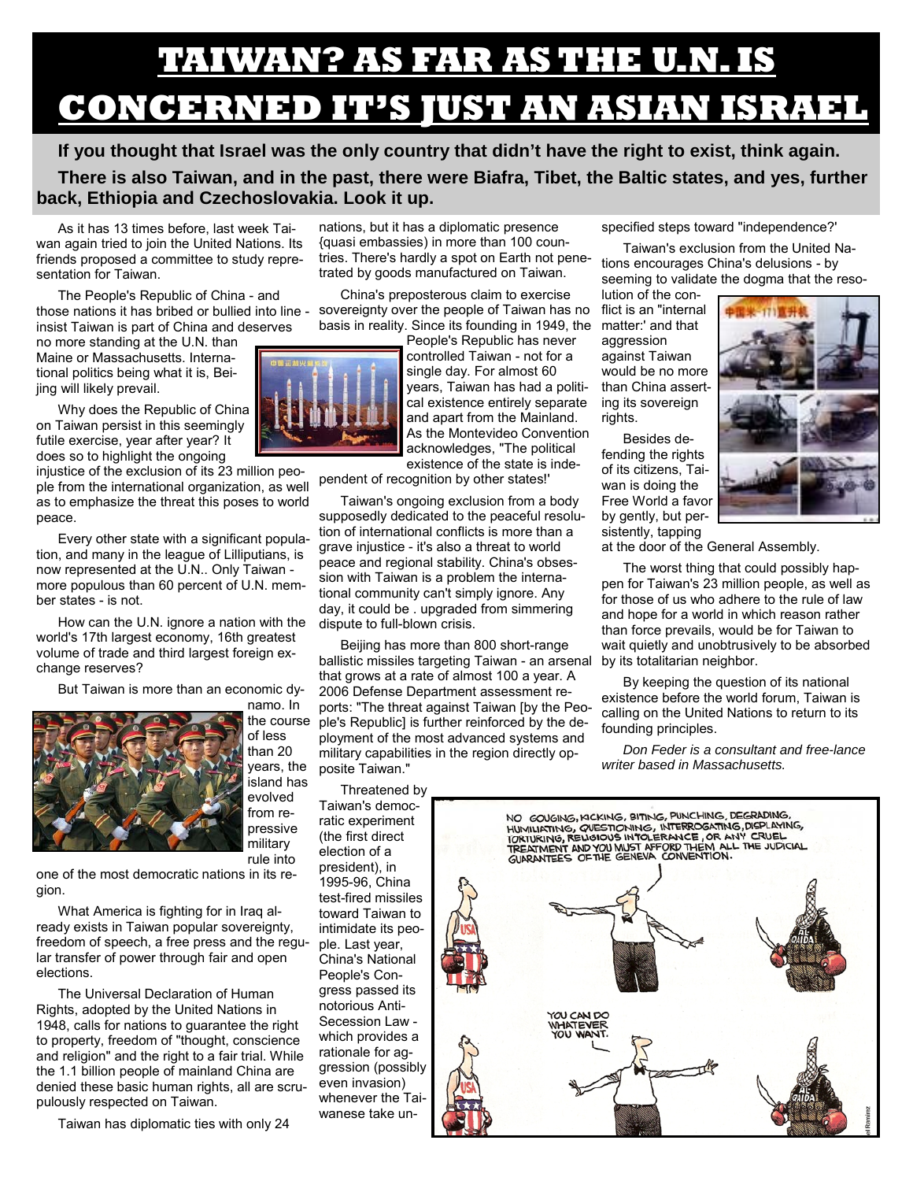# **TAIWAN? AS FAR AS THE U.N. IS CONCERNED IT'S JUST AN ASIAN ISRAEL**

**If you thought that Israel was the only country that didn't have the right to exist, think again. There is also Taiwan, and in the past, there were Biafra, Tibet, the Baltic states, and yes, further back, Ethiopia and Czechoslovakia. Look it up.** 

As it has 13 times before, last week Taiwan again tried to join the United Nations. Its friends proposed a committee to study representation for Taiwan.

The People's Republic of China - and those nations it has bribed or bullied into line insist Taiwan is part of China and deserves

no more standing at the U.N. than Maine or Massachusetts. International politics being what it is, Beijing will likely prevail.

Why does the Republic of China on Taiwan persist in this seemingly futile exercise, year after year? It does so to highlight the ongoing

injustice of the exclusion of its 23 million people from the international organization, as well as to emphasize the threat this poses to world peace.

Every other state with a significant population, and many in the league of Lilliputians, is now represented at the U.N.. Only Taiwan more populous than 60 percent of U.N. member states - is not.

How can the U.N. ignore a nation with the world's 17th largest economy, 16th greatest volume of trade and third largest foreign exchange reserves?

But Taiwan is more than an economic dy-



the course of less than 20 years, the island has evolved from repressive military

one of the most democratic nations in its region.

What America is fighting for in Iraq already exists in Taiwan popular sovereignty, freedom of speech, a free press and the regular transfer of power through fair and open elections.

The Universal Declaration of Human Rights, adopted by the United Nations in 1948, calls for nations to guarantee the right to property, freedom of "thought, conscience and religion" and the right to a fair trial. While the 1.1 billion people of mainland China are denied these basic human rights, all are scrupulously respected on Taiwan.

Taiwan has diplomatic ties with only 24

nations, but it has a diplomatic presence {quasi embassies) in more than 100 countries. There's hardly a spot on Earth not penetrated by goods manufactured on Taiwan.

China's preposterous claim to exercise sovereignty over the people of Taiwan has no basis in reality. Since its founding in 1949, the matter:' and that

People's Republic has never controlled Taiwan - not for a single day. For almost 60 years, Taiwan has had a political existence entirely separate and apart from the Mainland. As the Montevideo Convention acknowledges, "The political existence of the state is inde-

pendent of recognition by other states!'

Taiwan's ongoing exclusion from a body supposedly dedicated to the peaceful resolution of international conflicts is more than a grave injustice - it's also a threat to world peace and regional stability. China's obsession with Taiwan is a problem the international community can't simply ignore. Any day, it could be . upgraded from simmering dispute to full-blown crisis.

Beijing has more than 800 short-range ballistic missiles targeting Taiwan - an arsenal by its totalitarian neighbor. that grows at a rate of almost 100 a year. A 2006 Defense Department assessment reports: "The threat against Taiwan [by the People's Republic] is further reinforced by the deployment of the most advanced systems and military capabilities in the region directly opposite Taiwan."

Threatened by Taiwan's democratic experiment (the first direct election of a president), in 1995-96, China test-fired missiles toward Taiwan to intimidate its people. Last year, China's National People's Congress passed its notorious Anti-Secession Law which provides a rationale for aggression (possibly even invasion) whenever the Taiwanese take unspecified steps toward "independence?'

Taiwan's exclusion from the United Nations encourages China's delusions - by seeming to validate the dogma that the reso-

lution of the conflict is an "internal aggression against Taiwan would be no more than China asserting its sovereign rights.

Besides defending the rights of its citizens, Taiwan is doing the Free World a favor by gently, but persistently, tapping



at the door of the General Assembly.

The worst thing that could possibly happen for Taiwan's 23 million people, as well as for those of us who adhere to the rule of law and hope for a world in which reason rather than force prevails, would be for Taiwan to wait quietly and unobtrusively to be absorbed

By keeping the question of its national existence before the world forum, Taiwan is calling on the United Nations to return to its founding principles.

*Don Feder is a consultant and free-lance writer based in Massachusetts.* 



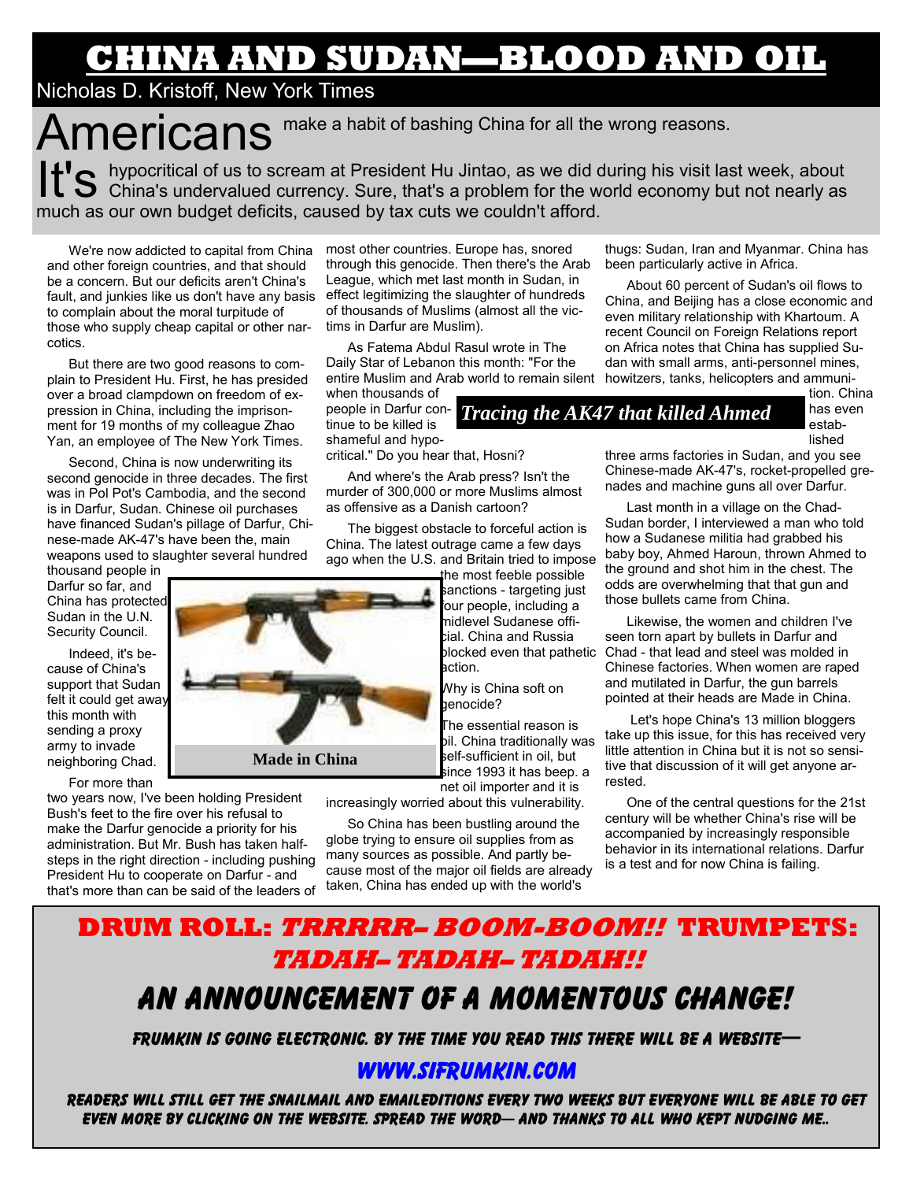# **CHINA AND SUDAN—BLOOD AND OIL**

### Nicholas D. Kristoff, New York Times

Americans make a habit of bashing China for all the wrong reasons. It's hypocritical of us to scream at President Hu Jintao, as we did during his visit last week, about  $\bf{S}$  China's undervalued currency. Sure, that's a problem for the world economy but not nearly as much as our own budget deficits, caused by tax cuts we couldn't afford.

We're now addicted to capital from China and other foreign countries, and that should be a concern. But our deficits aren't China's fault, and junkies like us don't have any basis to complain about the moral turpitude of those who supply cheap capital or other narcotics.

But there are two good reasons to complain to President Hu. First, he has presided over a broad clampdown on freedom of expression in China, including the imprisonment for 19 months of my colleague Zhao Yan, an employee of The New York Times.

Second, China is now underwriting its second genocide in three decades. The first was in Pol Pot's Cambodia, and the second is in Darfur, Sudan. Chinese oil purchases have financed Sudan's pillage of Darfur, Chinese-made AK-47's have been the, main weapons used to slaughter several hundred

thousand people in Darfur so far, and China has protected Sudan in the U.N. Security Council.

Indeed, it's because of China's support that Sudan felt it could get away this month with sending a proxy army to invade neighboring Chad.

For more than

two years now, I've been holding President Bush's feet to the fire over his refusal to make the Darfur genocide a priority for his administration. But Mr. Bush has taken halfsteps in the right direction - including pushing President Hu to cooperate on Darfur - and that's more than can be said of the leaders of

most other countries. Europe has, snored through this genocide. Then there's the Arab League, which met last month in Sudan, in effect legitimizing the slaughter of hundreds of thousands of Muslims (almost all the victims in Darfur are Muslim).

As Fatema Abdul Rasul wrote in The Daily Star of Lebanon this month: "For the entire Muslim and Arab world to remain silent howitzers, tanks, helicopters and ammuniwhen thousands of

tinue to be killed is shameful and hypo-

critical." Do you hear that, Hosni?

And where's the Arab press? Isn't the murder of 300,000 or more Muslims almost as offensive as a Danish cartoon?

The biggest obstacle to forceful action is China. The latest outrage came a few days ago when the U.S. and Britain tried to impose

the most feeble possible sanctions - targeting just four people, including a midlevel Sudanese official. China and Russia action.

Why is China soft on aenocide?

The essential reason is bil. China traditionally was self-sufficient in oil, but since 1993 it has beep. a net oil importer and it is

increasingly worried about this vulnerability.

So China has been bustling around the globe trying to ensure oil supplies from as many sources as possible. And partly because most of the major oil fields are already taken, China has ended up with the world's

### thugs: Sudan, Iran and Myanmar. China has been particularly active in Africa.

About 60 percent of Sudan's oil flows to China, and Beijing has a close economic and even military relationship with Khartoum. A recent Council on Foreign Relations report on Africa notes that China has supplied Sudan with small arms, anti-personnel mines,

people in Darfur con-*Tracing the AK47 that killed Ahmed* 

tion. China has even established

three arms factories in Sudan, and you see Chinese-made AK-47's, rocket-propelled grenades and machine guns all over Darfur.

Last month in a village on the Chad-Sudan border, I interviewed a man who told how a Sudanese militia had grabbed his baby boy, Ahmed Haroun, thrown Ahmed to the ground and shot him in the chest. The odds are overwhelming that that gun and those bullets came from China.

blocked even that pathetic Chad - that lead and steel was molded in Likewise, the women and children I've seen torn apart by bullets in Darfur and Chinese factories. When women are raped and mutilated in Darfur, the gun barrels pointed at their heads are Made in China.

> Let's hope China's 13 million bloggers take up this issue, for this has received very little attention in China but it is not so sensitive that discussion of it will get anyone arrested.

> One of the central questions for the 21st century will be whether China's rise will be accompanied by increasingly responsible behavior in its international relations. Darfur is a test and for now China is failing.

# **DRUM ROLL: TRRRRR– BOOM-BOOM!! TRUMPETS: TADAH– TADAH– TADAH!!** An announcement Of a momentous change!

Frumkin is going electronic. By the time you read this there will be a website—

### www.sifrumkin.com

Readers will still get the snailmail and emaileditions every two weeks but everyone will be able to get even more by clicking on the website. Spread the word— And thanks to all who kept nudging me..